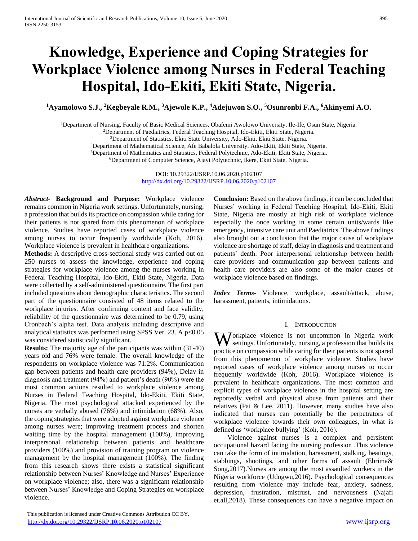# **Knowledge, Experience and Coping Strategies for Workplace Violence among Nurses in Federal Teaching Hospital, Ido-Ekiti, Ekiti State, Nigeria.**

**<sup>1</sup>Ayamolowo S.J., <sup>2</sup>Kegbeyale R.M., <sup>3</sup>Ajewole K.P., <sup>4</sup>Adejuwon S.O., <sup>5</sup>Osunronbi F.A., <sup>6</sup>Akinyemi A.O.** 

<sup>1</sup>Department of Nursing, Faculty of Basic Medical Sciences, Obafemi Awolowo University, Ile-Ife, Osun State, Nigeria.

<sup>2</sup>Department of Paediatrics, Federal Teaching Hospital, Ido-Ekiti, Ekiti State, Nigeria.

<sup>3</sup>Department of Statistics, Ekiti State University, Ado-Ekiti, Ekiti State, Nigeria.

<sup>4</sup>Department of Mathematical Science, Afe Babalola University, Ado-Ekiti, Ekiti State, Nigeria.

<sup>5</sup>Department of Mathematics and Statistics, Federal Polytechnic, Ado-Ekiti, Ekiti State, Nigeria.

<sup>6</sup>Department of Computer Science, Ajayi Polytechnic, Ikere, Ekiti State, Nigeria.

DOI: 10.29322/IJSRP.10.06.2020.p102107 <http://dx.doi.org/10.29322/IJSRP.10.06.2020.p102107>

*Abstract***- Background and Purpose:** Workplace violence remains common in Nigeria work settings. Unfortunately, nursing, a profession that builds its practice on compassion while caring for their patients is not spared from this phenomenon of workplace violence. Studies have reported cases of workplace violence among nurses to occur frequently worldwide (Koh, 2016). Workplace violence is prevalent in healthcare organizations.

**Methods:** A descriptive cross-sectional study was carried out on 250 nurses to assess the knowledge, experience and coping strategies for workplace violence among the nurses working in Federal Teaching Hospital, Ido-Ekiti, Ekiti State, Nigeria. Data were collected by a self-administered questionnaire. The first part included questions about demographic characteristics. The second part of the questionnaire consisted of 48 items related to the workplace injuries. After confirming content and face validity, reliability of the questionnaire was determined to be 0.79, using Cronbach's alpha test. Data analysis including descriptive and analytical statistics was performed using SPSS Ver. 23. A  $p<0.05$ was considered statistically significant.

**Results:** The majority age of the participants was within (31-40) years old and 76% were female. The overall knowledge of the respondents on workplace violence was 71.2%. Communication gap between patients and health care providers (94%), Delay in diagnosis and treatment (94%) and patient's death (90%) were the most common actions resulted to workplace violence among Nurses in Federal Teaching Hospital, Ido-Ekiti, Ekiti State, Nigeria. The most psychological attacked experienced by the nurses are verbally abused (76%) and intimidation (68%). Also, the coping strategies that were adopted against workplace violence among nurses were; improving treatment process and shorten waiting time by the hospital management (100%), improving interpersonal relationship between patients and healthcare providers (100%) and provision of training program on violence management by the hospital management (100%). The finding from this research shows there exists a statistical significant relationship between Nurses' Knowledge and Nurses' Experience on workplace violence; also, there was a significant relationship between Nurses' Knowledge and Coping Strategies on workplace violence.

**Conclusion:** Based on the above findings, it can be concluded that Nurses' working in Federal Teaching Hospital, Ido-Ekiti, Ekiti State, Nigeria are mostly at high risk of workplace violence especially the once working in some certain units/wards like emergency, intensive care unit and Paediatrics. The above findings also brought out a conclusion that the major cause of workplace violence are shortage of staff, delay in diagnosis and treatment and patients' death. Poor interpersonal relationship between health care providers and communication gap between patients and health care providers are also some of the major causes of workplace violence based on findings.

*Index Terms*- Violence, workplace, assault/attack, abuse, harassment, patients, intimidations.

# I. INTRODUCTION

**W** orkplace violence is not uncommon in Nigeria work settings. Unfortunately, nursing, a profession that builds its settings. Unfortunately, nursing, a profession that builds its practice on compassion while caring for their patients is not spared from this phenomenon of workplace violence. Studies have reported cases of workplace violence among nurses to occur frequently worldwide (Koh, 2016). Workplace violence is prevalent in healthcare organizations. The most common and explicit types of workplace violence in the hospital setting are reportedly verbal and physical abuse from patients and their relatives (Pai & Lee, 2011). However, many studies have also indicated that nurses can potentially be the perpetrators of workplace violence towards their own colleagues, in what is defined as 'workplace bullying' (Koh, 2016).

 Violence against nurses is a complex and persistent occupational hazard facing the nursing profession .This violence can take the form of intimidation, harassment, stalking, beatings, stabbings, shootings, and other forms of assault (Ebrima& Song,2017).Nurses are among the most assaulted workers in the Nigeria workforce (Udogwu,2016). Psychological consequences resulting from violence may include fear, anxiety, sadness, depression, frustration, mistrust, and nervousness (Najafi et.all,2018). These consequences can have a negative impact on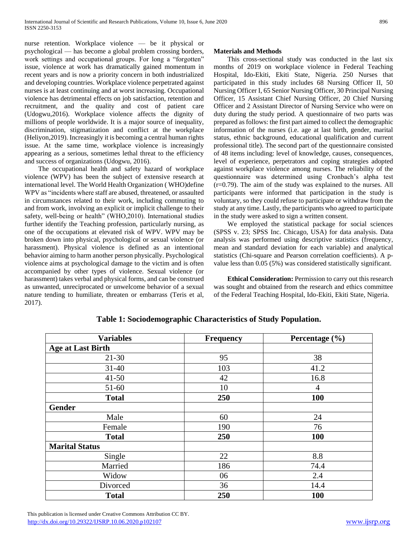nurse retention. Workplace violence — be it physical or psychological — has become a global problem crossing borders, work settings and occupational groups. For long a "forgotten" issue, violence at work has dramatically gained momentum in recent years and is now a priority concern in both industrialized and developing countries. Workplace violence perpetrated against nurses is at least continuing and at worst increasing. Occupational violence has detrimental effects on job satisfaction, retention and recruitment, and the quality and cost of patient care (Udogwu,2016). Workplace violence affects the dignity of millions of people worldwide. It is a major source of inequality, discrimination, stigmatization and conflict at the workplace (Heliyon,2019). Increasingly it is becoming a central human rights issue. At the same time, workplace violence is increasingly appearing as a serious, sometimes lethal threat to the efficiency and success of organizations (Udogwu, 2016).

 The occupational health and safety hazard of workplace violence (WPV) has been the subject of extensive research at international level. The World Health Organization ( WHO)define WPV as "incidents where staff are abused, threatened, or assaulted in circumstances related to their work, including commuting to and from work, involving an explicit or implicit challenge to their safety, well-being or health" (WHO,2010). International studies further identify the Teaching profession, particularly nursing, as one of the occupations at elevated risk of WPV. WPV may be broken down into physical, psychological or sexual violence (or harassment). Physical violence is defined as an intentional behavior aiming to harm another person physically. Psychological violence aims at psychological damage to the victim and is often accompanied by other types of violence. Sexual violence (or harassment) takes verbal and physical forms, and can be construed as unwanted, unreciprocated or unwelcome behavior of a sexual nature tending to humiliate, threaten or embarrass (Teris et al, 2017).

# **Materials and Methods**

 This cross-sectional study was conducted in the last six months of 2019 on workplace violence in Federal Teaching Hospital, Ido-Ekiti, Ekiti State, Nigeria. 250 Nurses that participated in this study includes 68 Nursing Officer II, 50 Nursing Officer I, 65 Senior Nursing Officer, 30 Principal Nursing Officer, 15 Assistant Chief Nursing Officer, 20 Chief Nursing Officer and 2 Assistant Director of Nursing Service who were on duty during the study period. A questionnaire of two parts was prepared as follows: the first part aimed to collect the demographic information of the nurses (i.e. age at last birth, gender, marital status, ethnic background, educational qualification and current professional title). The second part of the questionnaire consisted of 48 items including: level of knowledge, causes, consequences, level of experience, perpetrators and coping strategies adopted against workplace violence among nurses. The reliability of the questionnaire was determined using Cronbach's alpha test (r=0.79). The aim of the study was explained to the nurses. All participants were informed that participation in the study is voluntary, so they could refuse to participate or withdraw from the study at any time. Lastly, the participants who agreed to participate in the study were asked to sign a written consent.

 We employed the statistical package for social sciences (SPSS v. 23; SPSS Inc. Chicago, USA) for data analysis. Data analysis was performed using descriptive statistics (frequency, mean and standard deviation for each variable) and analytical statistics (Chi-square and Pearson correlation coefficients). A pvalue less than 0.05 (5%) was considered statistically significant.

 **Ethical Consideration:** Permission to carry out this research was sought and obtained from the research and ethics committee of the Federal Teaching Hospital, Ido-Ekiti, Ekiti State, Nigeria.

| <b>Variables</b>         | <b>Frequency</b> | Percentage (%) |  |
|--------------------------|------------------|----------------|--|
| <b>Age at Last Birth</b> |                  |                |  |
| $21 - 30$                | 95               | 38             |  |
| $31 - 40$                | 103              | 41.2           |  |
| $41 - 50$                | 42               | 16.8           |  |
| 51-60                    | 10               | 4              |  |
| <b>Total</b>             | 250              | 100            |  |
| <b>Gender</b>            |                  |                |  |
| Male                     | 60               | 24             |  |
| Female                   | 190              | 76             |  |
| <b>Total</b>             | 250              | <b>100</b>     |  |
| <b>Marital Status</b>    |                  |                |  |
| Single                   | 22               | 8.8            |  |
| Married                  | 186              | 74.4           |  |
| Widow                    | 06               | 2.4            |  |
| Divorced                 | 36               | 14.4           |  |
| <b>Total</b>             | 250              | <b>100</b>     |  |

# **Table 1: Sociodemographic Characteristics of Study Population.**

 This publication is licensed under Creative Commons Attribution CC BY. <http://dx.doi.org/10.29322/IJSRP.10.06.2020.p102107> [www.ijsrp.org](http://ijsrp.org/)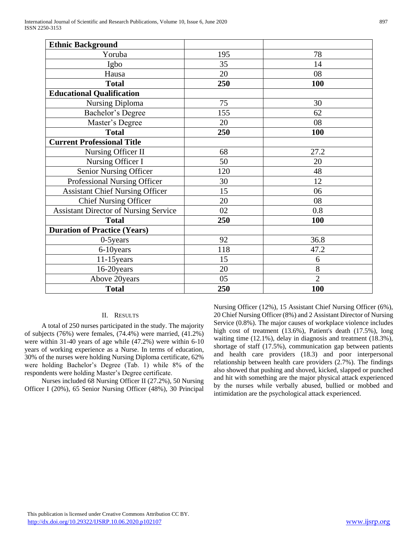| <b>Ethnic Background</b>                     |     |                |
|----------------------------------------------|-----|----------------|
| Yoruba                                       | 195 | 78             |
| Igbo                                         | 35  | 14             |
| Hausa                                        | 20  | 08             |
| <b>Total</b>                                 | 250 | 100            |
| <b>Educational Qualification</b>             |     |                |
| <b>Nursing Diploma</b>                       | 75  | 30             |
| Bachelor's Degree                            | 155 | 62             |
| Master's Degree                              | 20  | 08             |
| <b>Total</b>                                 | 250 | <b>100</b>     |
| <b>Current Professional Title</b>            |     |                |
| Nursing Officer II                           | 68  | 27.2           |
| Nursing Officer I                            | 50  | 20             |
| <b>Senior Nursing Officer</b>                | 120 | 48             |
| Professional Nursing Officer                 | 30  | 12             |
| <b>Assistant Chief Nursing Officer</b>       | 15  | 06             |
| <b>Chief Nursing Officer</b>                 | 20  | 08             |
| <b>Assistant Director of Nursing Service</b> | 02  | 0.8            |
| <b>Total</b>                                 | 250 | 100            |
| <b>Duration of Practice (Years)</b>          |     |                |
| $0-5$ years                                  | 92  | 36.8           |
| 6-10years                                    | 118 | 47.2           |
| $11-15$ years                                | 15  | 6              |
| 16-20years                                   | 20  | 8              |
| Above 20years                                | 05  | $\overline{2}$ |
| <b>Total</b>                                 | 250 | 100            |

# II. RESULTS

 A total of 250 nurses participated in the study. The majority of subjects (76%) were females, (74.4%) were married, (41.2%) were within 31-40 years of age while (47.2%) were within 6-10 years of working experience as a Nurse. In terms of education, 30% of the nurses were holding Nursing Diploma certificate, 62% were holding Bachelor's Degree (Tab. 1) while 8% of the respondents were holding Master's Degree certificate.

 Nurses included 68 Nursing Officer II (27.2%), 50 Nursing Officer I (20%), 65 Senior Nursing Officer (48%), 30 Principal Nursing Officer (12%), 15 Assistant Chief Nursing Officer (6%), 20 Chief Nursing Officer (8%) and 2 Assistant Director of Nursing Service (0.8%). The major causes of workplace violence includes high cost of treatment (13.6%), Patient's death (17.5%), long waiting time (12.1%), delay in diagnosis and treatment (18.3%), shortage of staff (17.5%), communication gap between patients and health care providers (18.3) and poor interpersonal relationship between health care providers (2.7%). The findings also showed that pushing and shoved, kicked, slapped or punched and hit with something are the major physical attack experienced by the nurses while verbally abused, bullied or mobbed and intimidation are the psychological attack experienced.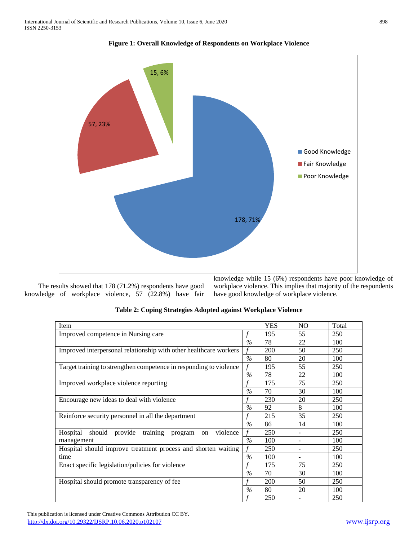



 The results showed that 178 (71.2%) respondents have good knowledge of workplace violence, 57 (22.8%) have fair knowledge while 15 (6%) respondents have poor knowledge of workplace violence. This implies that majority of the respondents have good knowledge of workplace violence.

| Item                                                                           | YES           | NO. | Total                    |     |
|--------------------------------------------------------------------------------|---------------|-----|--------------------------|-----|
| Improved competence in Nursing care                                            |               | 195 | 55                       | 250 |
|                                                                                | $\%$          | 78  | 22                       | 100 |
| Improved interpersonal relationship with other healthcare workers              |               | 200 | 50                       | 250 |
|                                                                                | $\frac{0}{0}$ | 80  | 20                       | 100 |
| Target training to strengthen competence in responding to violence             |               | 195 | 55                       | 250 |
|                                                                                | $\frac{0}{0}$ | 78  | 22                       | 100 |
| Improved workplace violence reporting                                          |               | 175 | 75                       | 250 |
|                                                                                | $\%$          | 70  | 30                       | 100 |
| Encourage new ideas to deal with violence                                      |               | 230 | 20                       | 250 |
|                                                                                | $\%$          | 92  | 8                        | 100 |
| Reinforce security personnel in all the department                             |               | 215 | 35                       | 250 |
|                                                                                | $\%$          | 86  | 14                       | 100 |
| training<br>Hospital<br>should provide<br>violence<br>program<br><sub>on</sub> |               | 250 |                          | 250 |
| management                                                                     | $\%$          | 100 | $\overline{\phantom{0}}$ | 100 |
| Hospital should improve treatment process and shorten waiting                  |               | 250 |                          | 250 |
| time                                                                           | $\frac{0}{0}$ | 100 | $\overline{\phantom{a}}$ | 100 |
| Enact specific legislation/policies for violence                               |               | 175 | 75                       | 250 |
|                                                                                | $\frac{0}{0}$ | 70  | 30                       | 100 |
| Hospital should promote transparency of fee                                    |               | 200 | 50                       | 250 |
|                                                                                | $\%$          | 80  | 20                       | 100 |
|                                                                                |               | 250 |                          | 250 |

|  | Table 2: Coping Strategies Adopted against Workplace Violence |  |  |
|--|---------------------------------------------------------------|--|--|
|  |                                                               |  |  |

 This publication is licensed under Creative Commons Attribution CC BY. <http://dx.doi.org/10.29322/IJSRP.10.06.2020.p102107> [www.ijsrp.org](http://ijsrp.org/)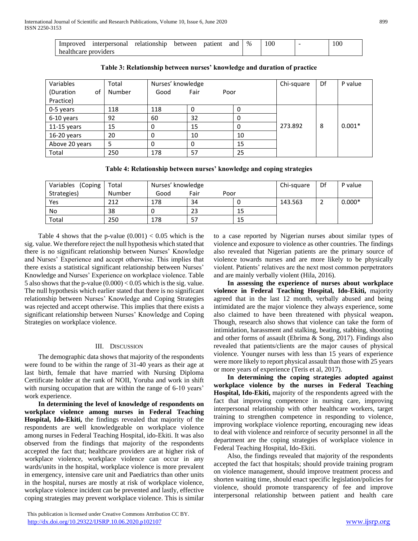| Improved             | interpersonal | relationship | between | patient | and | $\%$ | 100 | 100 |
|----------------------|---------------|--------------|---------|---------|-----|------|-----|-----|
| healthcare providers |               |              |         |         |     |      |     |     |

| Variables       | Total  | Nurses' knowledge |              |    | Chi-square | Df | P value  |
|-----------------|--------|-------------------|--------------|----|------------|----|----------|
| (Duration<br>оf | Number | Good              | Fair<br>Poor |    |            |    |          |
| Practice)       |        |                   |              |    |            |    |          |
| 0-5 years       | 118    | 118               | υ            | 0  |            |    |          |
| 6-10 years      | 92     | 60                | 32           | 0  |            |    |          |
| $11-15$ years   | 15     | 0                 | 15           | 0  | 273.892    | 8  | $0.001*$ |
| $16-20$ years   | 20     | 0                 | 10           | 10 |            |    |          |
| Above 20 years  | 5      | 0                 | 0            | 15 |            |    |          |
| Total           | 250    | 178               | 57           | 25 |            |    |          |

**Table 3: Relationship between nurses' knowledge and duration of practice**

**Table 4: Relationship between nurses' knowledge and coping strategies**

| Variables<br>(Coping) | Total  | Nurses' knowledge | Chi-square | Df   | P value |  |          |
|-----------------------|--------|-------------------|------------|------|---------|--|----------|
| Strategies)           | Number | Good              | Fair       | Poor |         |  |          |
| Yes                   | 212    | 178               | 34         |      | 143.563 |  | $0.000*$ |
| No                    | 38     |                   | 23         | 15   |         |  |          |
| Total                 | 250    | 178               | 57         | 15   |         |  |          |

Table 4 shows that the p-value  $(0.001) < 0.05$  which is the sig. value. We therefore reject the null hypothesis which stated that there is no significant relationship between Nurses' Knowledge and Nurses' Experience and accept otherwise. This implies that there exists a statistical significant relationship between Nurses' Knowledge and Nurses' Experience on workplace violence. Table 5 also shows that the p-value  $(0.000) < 0.05$  which is the sig. value. The null hypothesis which earlier stated that there is no significant relationship between Nurses' Knowledge and Coping Strategies was rejected and accept otherwise. This implies that there exists a significant relationship between Nurses' Knowledge and Coping Strategies on workplace violence.

# III. DISCUSSION

 The demographic data shows that majority of the respondents were found to be within the range of 31-40 years as their age at last birth, female that have married with Nursing Diploma Certificate holder at the rank of NOII, Yoruba and work in shift with nursing occupation that are within the range of 6-10 years' work experience.

 **In determining the level of knowledge of respondents on workplace violence among nurses in Federal Teaching Hospital, Ido-Ekiti,** the findings revealed that majority of the respondents are well knowledgeable on workplace violence among nurses in Federal Teaching Hospital, ido-Ekiti. It was also observed from the findings that majority of the respondents accepted the fact that; healthcare providers are at higher risk of workplace violence, workplace violence can occur in any wards/units in the hospital, workplace violence is more prevalent in emergency, intensive care unit and Paediatrics than other units in the hospital, nurses are mostly at risk of workplace violence, workplace violence incident can be prevented and lastly, effective coping strategies may prevent workplace violence. This is similar

 This publication is licensed under Creative Commons Attribution CC BY. <http://dx.doi.org/10.29322/IJSRP.10.06.2020.p102107> [www.ijsrp.org](http://ijsrp.org/)

to a case reported by Nigerian nurses about similar types of violence and exposure to violence as other countries. The findings also revealed that Nigerian patients are the primary source of violence towards nurses and are more likely to be physically violent. Patients' relatives are the next most common perpetrators and are mainly verbally violent (Hila, 2016).

 **In assessing the experience of nurses about workplace violence in Federal Teaching Hospital, Ido-Ekiti,** majority agreed that in the last 12 month, verbally abused and being intimidated are the major violence they always experience, some also claimed to have been threatened with physical weapon**.**  Though, research also shows that violence can take the form of intimidation, harassment and stalking, beating, stabbing, shooting and other forms of assault (Ebrima & Song, 2017). Findings also revealed that patients/clients are the major causes of physical violence. Younger nurses with less than 15 years of experience were more likely to report physical assault than those with 25 years or more years of experience (Teris et al, 2017).

 **In determining the coping strategies adopted against workplace violence by the nurses in Federal Teaching Hospital, Ido-Ekiti,** majority of the respondents agreed with the fact that improving competence in nursing care, improving interpersonal relationship with other healthcare workers, target training to strengthen competence in responding to violence, improving workplace violence reporting, encouraging new ideas to deal with violence and reinforce of security personnel in all the department are the coping strategies of workplace violence in Federal Teaching Hospital, Ido-Ekiti.

 Also, the findings revealed that majority of the respondents accepted the fact that hospitals; should provide training program on violence management, should improve treatment process and shorten waiting time, should enact specific legislation/policies for violence, should promote transparency of fee and improve interpersonal relationship between patient and health care